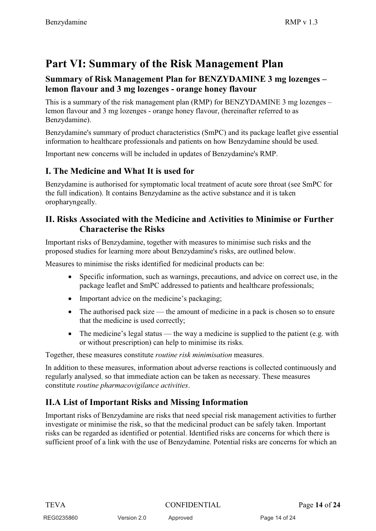# **Part VI: Summary of the Risk Management Plan**

### **Summary of Risk Management Plan for BENZYDAMINE 3 mg lozenges – lemon flavour and 3 mg lozenges - orange honey flavour**

This is a summary of the risk management plan (RMP) for BENZYDAMINE 3 mg lozenges – lemon flavour and 3 mg lozenges - orange honey flavour, (hereinafter referred to as Benzydamine).

Benzydamine's summary of product characteristics (SmPC) and its package leaflet give essential information to healthcare professionals and patients on how Benzydamine should be used.

Important new concerns will be included in updates of Benzydamine's RMP.

## **I. The Medicine and What It is used for**

Benzydamine is authorised for symptomatic local treatment of acute sore throat (see SmPC for the full indication). It contains Benzydamine as the active substance and it is taken oropharyngeally.

### **II. Risks Associated with the Medicine and Activities to Minimise or Further Characterise the Risks**

Important risks of Benzydamine, together with measures to minimise such risks and the proposed studies for learning more about Benzydamine's risks, are outlined below.

Measures to minimise the risks identified for medicinal products can be:

- $\bullet$  Specific information, such as warnings, precautions, and advice on correct use, in the package leaflet and SmPC addressed to patients and healthcare professionals;
- Important advice on the medicine's packaging;
- The authorised pack size the amount of medicine in a pack is chosen so to ensure that the medicine is used correctly;
- $\bullet$  The medicine's legal status — the way a medicine is supplied to the patient (e.g. with or without prescription) can help to minimise its risks.

Together, these measures constitute *routine risk minimisation* measures.

In addition to these measures, information about adverse reactions is collected continuously and regularly analysed, so that immediate action can be taken as necessary. These measures constitute *routine pharmacovigilance activities*.

# **II.A List of Important Risks and Missing Information**

Important risks of Benzydamine are risks that need special risk management activities to further investigate or minimise the risk, so that the medicinal product can be safely taken. Important risks can be regarded as identified or potential. Identified risks are concerns for which there is sufficient proof of a link with the use of Benzydamine. Potential risks are concerns for which an